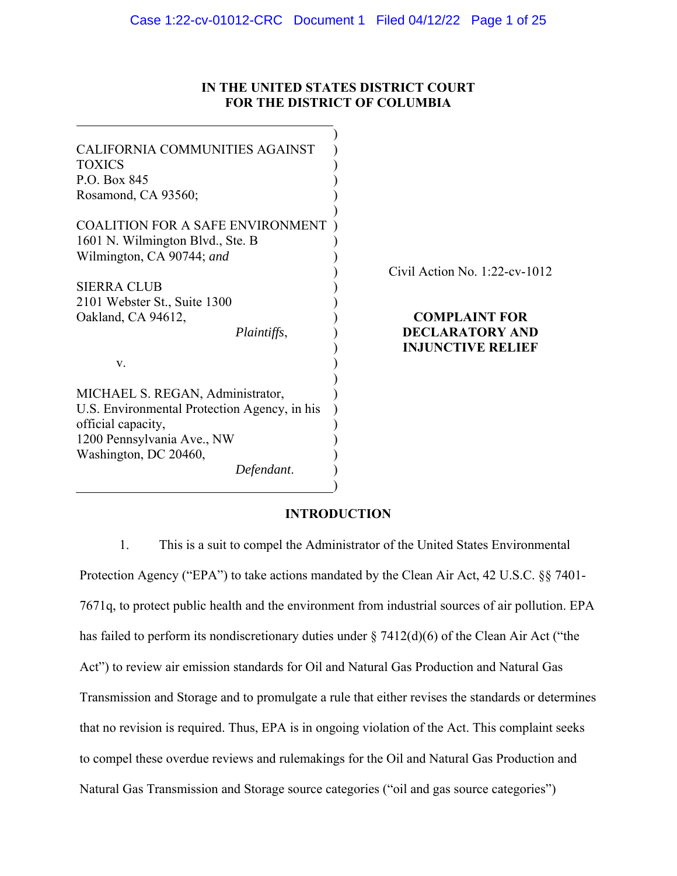## **IN THE UNITED STATES DISTRICT COURT FOR THE DISTRICT OF COLUMBIA**

| CALIFORNIA COMMUNITIES AGAINST<br><b>TOXICS</b><br>P.O. Box 845<br>Rosamond, CA 93560;                                                                                      |                                                    |
|-----------------------------------------------------------------------------------------------------------------------------------------------------------------------------|----------------------------------------------------|
| <b>COALITION FOR A SAFE ENVIRONMENT</b><br>1601 N. Wilmington Blvd., Ste. B<br>Wilmington, CA 90744; and                                                                    |                                                    |
| <b>SIERRA CLUB</b>                                                                                                                                                          | Civil Action No. $1:22$ -cv- $1012$                |
| 2101 Webster St., Suite 1300                                                                                                                                                |                                                    |
| Oakland, CA 94612,                                                                                                                                                          | <b>COMPLAINT FOR</b>                               |
| Plaintiffs,                                                                                                                                                                 | <b>DECLARATORY AND</b><br><b>INJUNCTIVE RELIEF</b> |
| V.                                                                                                                                                                          |                                                    |
| MICHAEL S. REGAN, Administrator,<br>U.S. Environmental Protection Agency, in his<br>official capacity,<br>1200 Pennsylvania Ave., NW<br>Washington, DC 20460,<br>Defendant. |                                                    |

# **INTRODUCTION**

 1. This is a suit to compel the Administrator of the United States Environmental Protection Agency ("EPA") to take actions mandated by the Clean Air Act, 42 U.S.C. §§ 7401- 7671q, to protect public health and the environment from industrial sources of air pollution. EPA has failed to perform its nondiscretionary duties under § 7412(d)(6) of the Clean Air Act ("the Act") to review air emission standards for Oil and Natural Gas Production and Natural Gas Transmission and Storage and to promulgate a rule that either revises the standards or determines that no revision is required. Thus, EPA is in ongoing violation of the Act. This complaint seeks to compel these overdue reviews and rulemakings for the Oil and Natural Gas Production and Natural Gas Transmission and Storage source categories ("oil and gas source categories")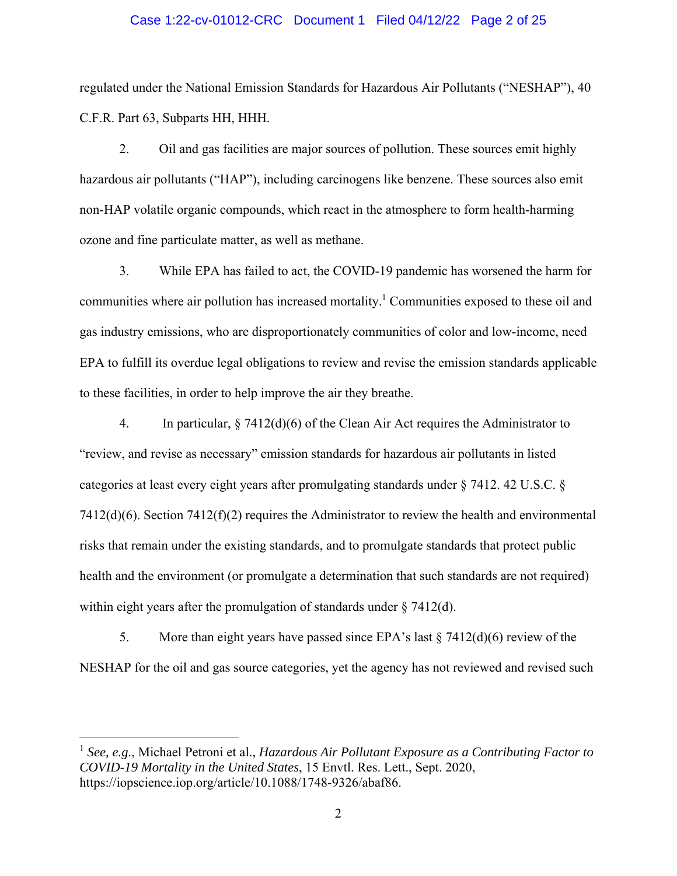### Case 1:22-cv-01012-CRC Document 1 Filed 04/12/22 Page 2 of 25

regulated under the National Emission Standards for Hazardous Air Pollutants ("NESHAP"), 40 C.F.R. Part 63, Subparts HH, HHH.

2. Oil and gas facilities are major sources of pollution. These sources emit highly hazardous air pollutants ("HAP"), including carcinogens like benzene. These sources also emit non-HAP volatile organic compounds, which react in the atmosphere to form health-harming ozone and fine particulate matter, as well as methane.

3. While EPA has failed to act, the COVID-19 pandemic has worsened the harm for communities where air pollution has increased mortality.<sup>1</sup> Communities exposed to these oil and gas industry emissions, who are disproportionately communities of color and low-income, need EPA to fulfill its overdue legal obligations to review and revise the emission standards applicable to these facilities, in order to help improve the air they breathe.

4. In particular,  $\S 7412(d)(6)$  of the Clean Air Act requires the Administrator to "review, and revise as necessary" emission standards for hazardous air pollutants in listed categories at least every eight years after promulgating standards under § 7412. 42 U.S.C. § 7412(d)(6). Section 7412(f)(2) requires the Administrator to review the health and environmental risks that remain under the existing standards, and to promulgate standards that protect public health and the environment (or promulgate a determination that such standards are not required) within eight years after the promulgation of standards under § 7412(d).

5. More than eight years have passed since EPA's last § 7412(d)(6) review of the NESHAP for the oil and gas source categories, yet the agency has not reviewed and revised such

<sup>1</sup> *See, e.g.*, Michael Petroni et al., *Hazardous Air Pollutant Exposure as a Contributing Factor to COVID-19 Mortality in the United States*, 15 Envtl. Res. Lett., Sept. 2020, https://iopscience.iop.org/article/10.1088/1748-9326/abaf86.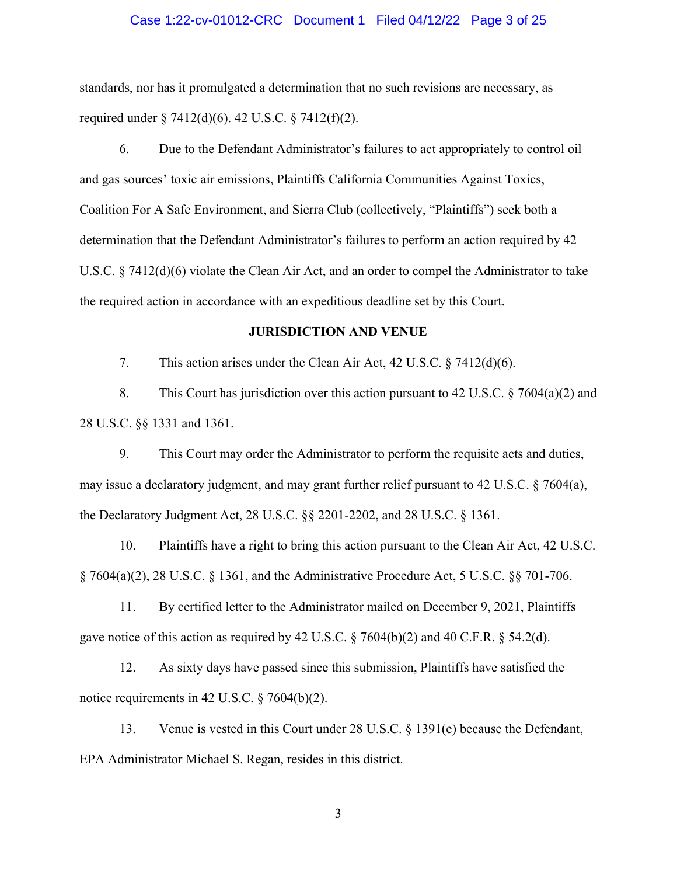#### Case 1:22-cv-01012-CRC Document 1 Filed 04/12/22 Page 3 of 25

standards, nor has it promulgated a determination that no such revisions are necessary, as required under § 7412(d)(6). 42 U.S.C. § 7412(f)(2).

6. Due to the Defendant Administrator's failures to act appropriately to control oil and gas sources' toxic air emissions, Plaintiffs California Communities Against Toxics, Coalition For A Safe Environment, and Sierra Club (collectively, "Plaintiffs") seek both a determination that the Defendant Administrator's failures to perform an action required by 42 U.S.C. § 7412(d)(6) violate the Clean Air Act, and an order to compel the Administrator to take the required action in accordance with an expeditious deadline set by this Court.

### **JURISDICTION AND VENUE**

7. This action arises under the Clean Air Act, 42 U.S.C. § 7412(d)(6).

8. This Court has jurisdiction over this action pursuant to 42 U.S.C.  $\S$  7604(a)(2) and 28 U.S.C. §§ 1331 and 1361.

9. This Court may order the Administrator to perform the requisite acts and duties, may issue a declaratory judgment, and may grant further relief pursuant to 42 U.S.C. § 7604(a), the Declaratory Judgment Act, 28 U.S.C. §§ 2201-2202, and 28 U.S.C. § 1361.

10. Plaintiffs have a right to bring this action pursuant to the Clean Air Act, 42 U.S.C. § 7604(a)(2), 28 U.S.C. § 1361, and the Administrative Procedure Act, 5 U.S.C. §§ 701-706.

11. By certified letter to the Administrator mailed on December 9, 2021, Plaintiffs gave notice of this action as required by 42 U.S.C.  $\S$  7604(b)(2) and 40 C.F.R.  $\S$  54.2(d).

12. As sixty days have passed since this submission, Plaintiffs have satisfied the notice requirements in 42 U.S.C. § 7604(b)(2).

13. Venue is vested in this Court under 28 U.S.C. § 1391(e) because the Defendant, EPA Administrator Michael S. Regan, resides in this district.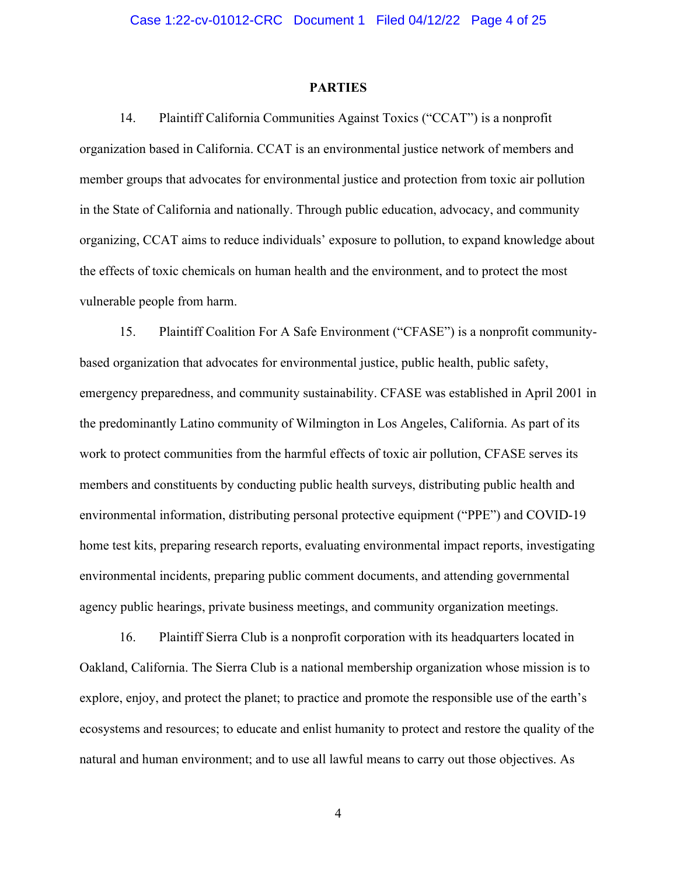#### **PARTIES**

14. Plaintiff California Communities Against Toxics ("CCAT") is a nonprofit organization based in California. CCAT is an environmental justice network of members and member groups that advocates for environmental justice and protection from toxic air pollution in the State of California and nationally. Through public education, advocacy, and community organizing, CCAT aims to reduce individuals' exposure to pollution, to expand knowledge about the effects of toxic chemicals on human health and the environment, and to protect the most vulnerable people from harm.

15. Plaintiff Coalition For A Safe Environment ("CFASE") is a nonprofit communitybased organization that advocates for environmental justice, public health, public safety, emergency preparedness, and community sustainability. CFASE was established in April 2001 in the predominantly Latino community of Wilmington in Los Angeles, California. As part of its work to protect communities from the harmful effects of toxic air pollution, CFASE serves its members and constituents by conducting public health surveys, distributing public health and environmental information, distributing personal protective equipment ("PPE") and COVID-19 home test kits, preparing research reports, evaluating environmental impact reports, investigating environmental incidents, preparing public comment documents, and attending governmental agency public hearings, private business meetings, and community organization meetings.

16. Plaintiff Sierra Club is a nonprofit corporation with its headquarters located in Oakland, California. The Sierra Club is a national membership organization whose mission is to explore, enjoy, and protect the planet; to practice and promote the responsible use of the earth's ecosystems and resources; to educate and enlist humanity to protect and restore the quality of the natural and human environment; and to use all lawful means to carry out those objectives. As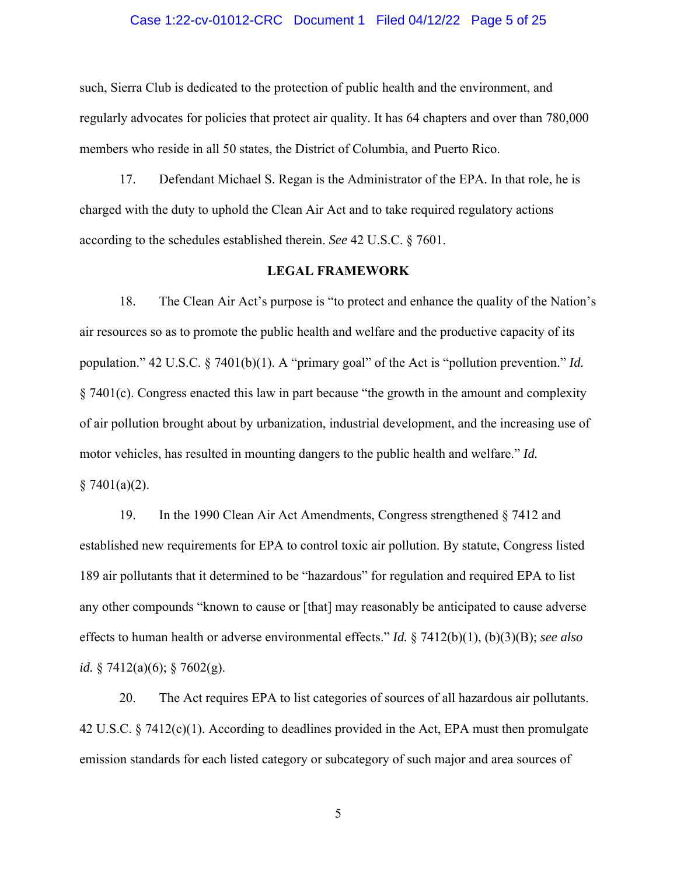#### Case 1:22-cv-01012-CRC Document 1 Filed 04/12/22 Page 5 of 25

such, Sierra Club is dedicated to the protection of public health and the environment, and regularly advocates for policies that protect air quality. It has 64 chapters and over than 780,000 members who reside in all 50 states, the District of Columbia, and Puerto Rico.

17. Defendant Michael S. Regan is the Administrator of the EPA. In that role, he is charged with the duty to uphold the Clean Air Act and to take required regulatory actions according to the schedules established therein. *See* 42 U.S.C. § 7601.

#### **LEGAL FRAMEWORK**

18. The Clean Air Act's purpose is "to protect and enhance the quality of the Nation's air resources so as to promote the public health and welfare and the productive capacity of its population." 42 U.S.C. § 7401(b)(1). A "primary goal" of the Act is "pollution prevention." *Id.* § 7401(c). Congress enacted this law in part because "the growth in the amount and complexity of air pollution brought about by urbanization, industrial development, and the increasing use of motor vehicles, has resulted in mounting dangers to the public health and welfare." *Id.*  $§ 7401(a)(2).$ 

19. In the 1990 Clean Air Act Amendments, Congress strengthened § 7412 and established new requirements for EPA to control toxic air pollution. By statute, Congress listed 189 air pollutants that it determined to be "hazardous" for regulation and required EPA to list any other compounds "known to cause or [that] may reasonably be anticipated to cause adverse effects to human health or adverse environmental effects." *Id.* § 7412(b)(1), (b)(3)(B); *see also id.* § 7412(a)(6); § 7602(g).

20. The Act requires EPA to list categories of sources of all hazardous air pollutants. 42 U.S.C. § 7412(c)(1). According to deadlines provided in the Act, EPA must then promulgate emission standards for each listed category or subcategory of such major and area sources of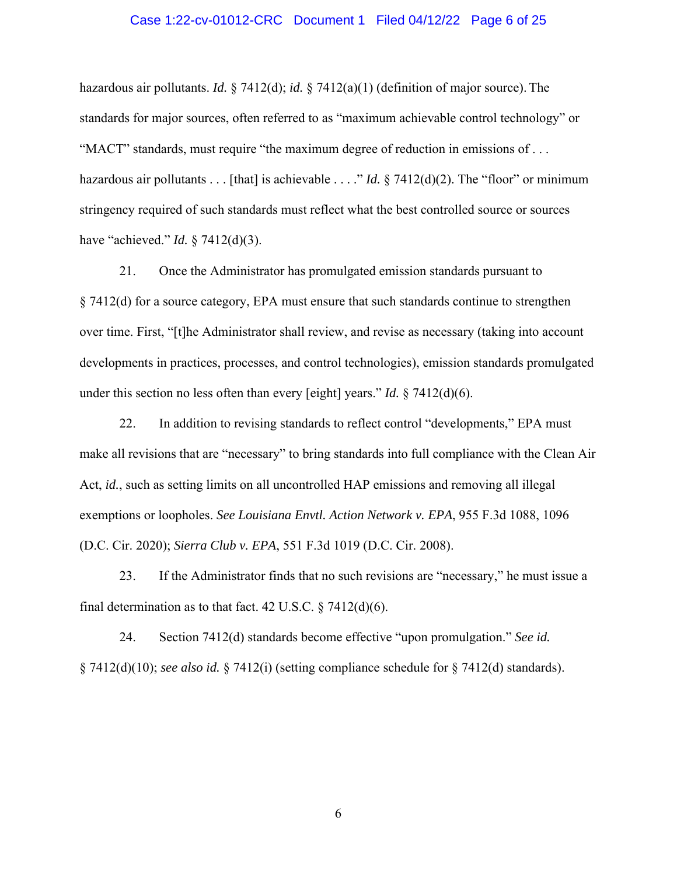#### Case 1:22-cv-01012-CRC Document 1 Filed 04/12/22 Page 6 of 25

hazardous air pollutants. *Id.* § 7412(d); *id.* § 7412(a)(1) (definition of major source). The standards for major sources, often referred to as "maximum achievable control technology" or "MACT" standards, must require "the maximum degree of reduction in emissions of . . . hazardous air pollutants . . . [that] is achievable . . . ." *Id.* § 7412(d)(2). The "floor" or minimum stringency required of such standards must reflect what the best controlled source or sources have "achieved." *Id.* § 7412(d)(3).

21. Once the Administrator has promulgated emission standards pursuant to § 7412(d) for a source category, EPA must ensure that such standards continue to strengthen over time. First, "[t]he Administrator shall review, and revise as necessary (taking into account developments in practices, processes, and control technologies), emission standards promulgated under this section no less often than every [eight] years." *Id.* § 7412(d)(6).

22. In addition to revising standards to reflect control "developments," EPA must make all revisions that are "necessary" to bring standards into full compliance with the Clean Air Act, *id.*, such as setting limits on all uncontrolled HAP emissions and removing all illegal exemptions or loopholes. *See Louisiana Envtl. Action Network v. EPA*, 955 F.3d 1088, 1096 (D.C. Cir. 2020); *Sierra Club v. EPA*, 551 F.3d 1019 (D.C. Cir. 2008).

23. If the Administrator finds that no such revisions are "necessary," he must issue a final determination as to that fact. 42 U.S.C.  $\S$  7412(d)(6).

24. Section 7412(d) standards become effective "upon promulgation." *See id.* § 7412(d)(10); *see also id.* § 7412(i) (setting compliance schedule for § 7412(d) standards).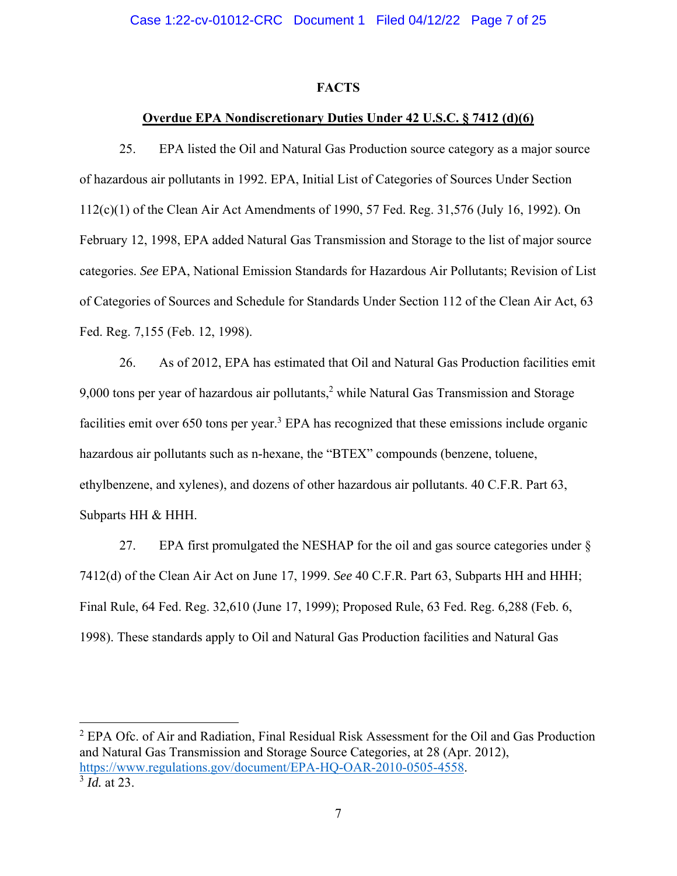#### **FACTS**

## **Overdue EPA Nondiscretionary Duties Under 42 U.S.C. § 7412 (d)(6)**

25. EPA listed the Oil and Natural Gas Production source category as a major source of hazardous air pollutants in 1992. EPA, Initial List of Categories of Sources Under Section 112(c)(1) of the Clean Air Act Amendments of 1990, 57 Fed. Reg. 31,576 (July 16, 1992). On February 12, 1998, EPA added Natural Gas Transmission and Storage to the list of major source categories. *See* EPA, National Emission Standards for Hazardous Air Pollutants; Revision of List of Categories of Sources and Schedule for Standards Under Section 112 of the Clean Air Act, 63 Fed. Reg. 7,155 (Feb. 12, 1998).

26. As of 2012, EPA has estimated that Oil and Natural Gas Production facilities emit 9,000 tons per year of hazardous air pollutants, $^2$  while Natural Gas Transmission and Storage facilities emit over  $650$  tons per year.<sup>3</sup> EPA has recognized that these emissions include organic hazardous air pollutants such as n-hexane, the "BTEX" compounds (benzene, toluene, ethylbenzene, and xylenes), and dozens of other hazardous air pollutants. 40 C.F.R. Part 63, Subparts HH & HHH.

27. EPA first promulgated the NESHAP for the oil and gas source categories under  $\delta$ 7412(d) of the Clean Air Act on June 17, 1999. *See* 40 C.F.R. Part 63, Subparts HH and HHH; Final Rule, 64 Fed. Reg. 32,610 (June 17, 1999); Proposed Rule, 63 Fed. Reg. 6,288 (Feb. 6, 1998). These standards apply to Oil and Natural Gas Production facilities and Natural Gas

<sup>2</sup> EPA Ofc. of Air and Radiation, Final Residual Risk Assessment for the Oil and Gas Production and Natural Gas Transmission and Storage Source Categories, at 28 (Apr. 2012), https://www.regulations.gov/document/EPA-HQ-OAR-2010-0505-4558. <sup>3</sup> *Id.* at 23.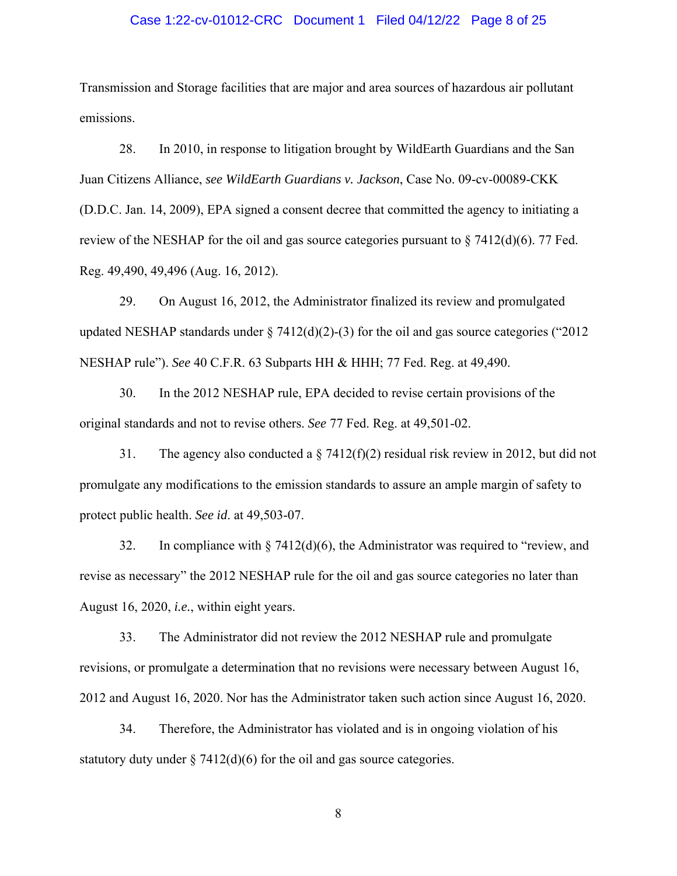#### Case 1:22-cv-01012-CRC Document 1 Filed 04/12/22 Page 8 of 25

Transmission and Storage facilities that are major and area sources of hazardous air pollutant emissions.

28. In 2010, in response to litigation brought by WildEarth Guardians and the San Juan Citizens Alliance, *see WildEarth Guardians v. Jackson*, Case No. 09-cv-00089-CKK (D.D.C. Jan. 14, 2009), EPA signed a consent decree that committed the agency to initiating a review of the NESHAP for the oil and gas source categories pursuant to  $\S$  7412(d)(6). 77 Fed. Reg. 49,490, 49,496 (Aug. 16, 2012).

29. On August 16, 2012, the Administrator finalized its review and promulgated updated NESHAP standards under  $\S 7412(d)(2)-(3)$  for the oil and gas source categories ("2012 NESHAP rule"). *See* 40 C.F.R. 63 Subparts HH & HHH; 77 Fed. Reg. at 49,490.

30. In the 2012 NESHAP rule, EPA decided to revise certain provisions of the original standards and not to revise others. *See* 77 Fed. Reg. at 49,501-02.

31. The agency also conducted a  $\S$  7412(f)(2) residual risk review in 2012, but did not promulgate any modifications to the emission standards to assure an ample margin of safety to protect public health. *See id*. at 49,503-07.

32. In compliance with  $\S 7412(d)(6)$ , the Administrator was required to "review, and revise as necessary" the 2012 NESHAP rule for the oil and gas source categories no later than August 16, 2020, *i.e.*, within eight years.

33. The Administrator did not review the 2012 NESHAP rule and promulgate revisions, or promulgate a determination that no revisions were necessary between August 16, 2012 and August 16, 2020. Nor has the Administrator taken such action since August 16, 2020.

34. Therefore, the Administrator has violated and is in ongoing violation of his statutory duty under  $\S 7412(d)(6)$  for the oil and gas source categories.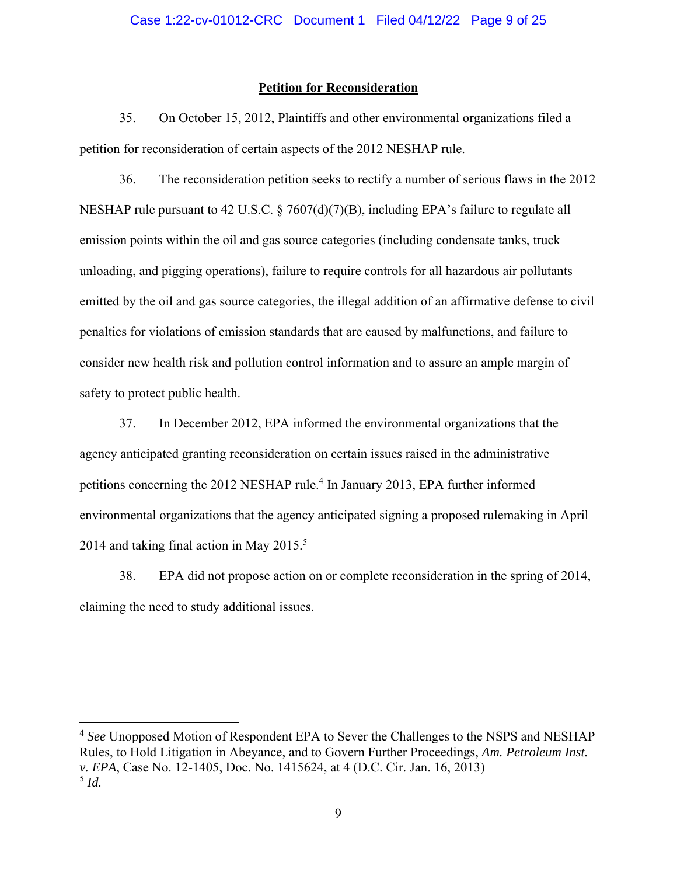### **Petition for Reconsideration**

35. On October 15, 2012, Plaintiffs and other environmental organizations filed a petition for reconsideration of certain aspects of the 2012 NESHAP rule.

36. The reconsideration petition seeks to rectify a number of serious flaws in the 2012 NESHAP rule pursuant to 42 U.S.C. § 7607(d)(7)(B), including EPA's failure to regulate all emission points within the oil and gas source categories (including condensate tanks, truck unloading, and pigging operations), failure to require controls for all hazardous air pollutants emitted by the oil and gas source categories, the illegal addition of an affirmative defense to civil penalties for violations of emission standards that are caused by malfunctions, and failure to consider new health risk and pollution control information and to assure an ample margin of safety to protect public health.

37. In December 2012, EPA informed the environmental organizations that the agency anticipated granting reconsideration on certain issues raised in the administrative petitions concerning the 2012 NESHAP rule.<sup>4</sup> In January 2013, EPA further informed environmental organizations that the agency anticipated signing a proposed rulemaking in April 2014 and taking final action in May  $2015.^5$ 

38. EPA did not propose action on or complete reconsideration in the spring of 2014, claiming the need to study additional issues.

<sup>4</sup> *See* Unopposed Motion of Respondent EPA to Sever the Challenges to the NSPS and NESHAP Rules, to Hold Litigation in Abeyance, and to Govern Further Proceedings, *Am. Petroleum Inst. v. EPA*, Case No. 12-1405, Doc. No. 1415624, at 4 (D.C. Cir. Jan. 16, 2013) <sup>5</sup> *Id.*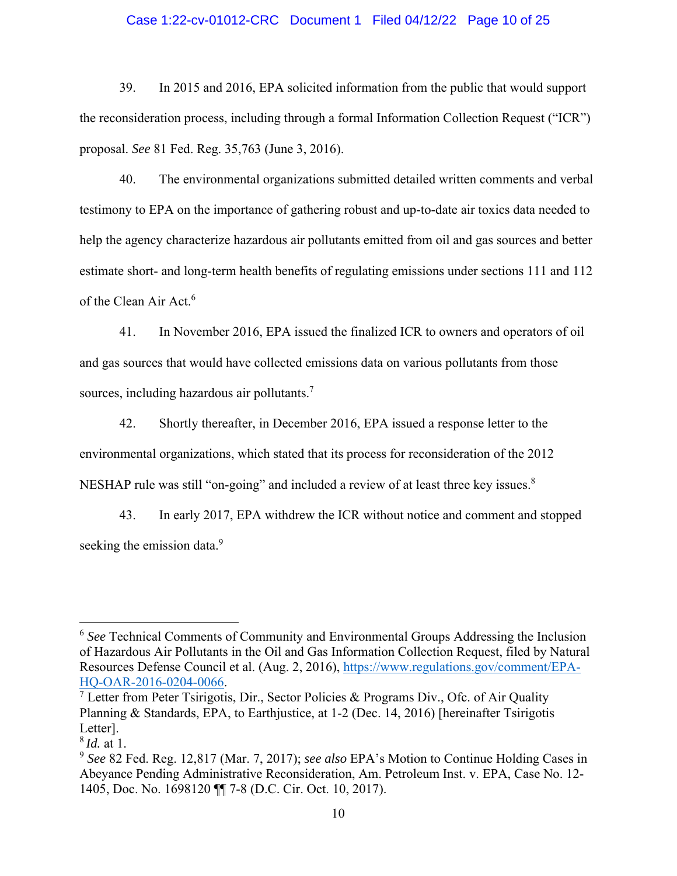### Case 1:22-cv-01012-CRC Document 1 Filed 04/12/22 Page 10 of 25

39. In 2015 and 2016, EPA solicited information from the public that would support the reconsideration process, including through a formal Information Collection Request ("ICR") proposal. *See* 81 Fed. Reg. 35,763 (June 3, 2016).

40. The environmental organizations submitted detailed written comments and verbal testimony to EPA on the importance of gathering robust and up-to-date air toxics data needed to help the agency characterize hazardous air pollutants emitted from oil and gas sources and better estimate short- and long-term health benefits of regulating emissions under sections 111 and 112 of the Clean Air Act.<sup>6</sup>

41. In November 2016, EPA issued the finalized ICR to owners and operators of oil and gas sources that would have collected emissions data on various pollutants from those sources, including hazardous air pollutants. $^7$ 

42. Shortly thereafter, in December 2016, EPA issued a response letter to the environmental organizations, which stated that its process for reconsideration of the 2012 NESHAP rule was still "on-going" and included a review of at least three key issues. $8$ 

43. In early 2017, EPA withdrew the ICR without notice and comment and stopped seeking the emission data.<sup>9</sup>

<sup>6</sup> *See* Technical Comments of Community and Environmental Groups Addressing the Inclusion of Hazardous Air Pollutants in the Oil and Gas Information Collection Request, filed by Natural Resources Defense Council et al. (Aug. 2, 2016), https://www.regulations.gov/comment/EPA-HQ-OAR-2016-0204-0066. 7

<sup>&</sup>lt;sup>7</sup> Letter from Peter Tsirigotis, Dir., Sector Policies & Programs Div., Ofc. of Air Quality Planning & Standards, EPA, to Earthjustice, at 1-2 (Dec. 14, 2016) [hereinafter Tsirigotis Letter].

<sup>8</sup>*Id.* at 1.

<sup>9</sup> *See* 82 Fed. Reg. 12,817 (Mar. 7, 2017); *see also* EPA's Motion to Continue Holding Cases in Abeyance Pending Administrative Reconsideration, Am. Petroleum Inst. v. EPA, Case No. 12- 1405, Doc. No. 1698120 ¶¶ 7-8 (D.C. Cir. Oct. 10, 2017).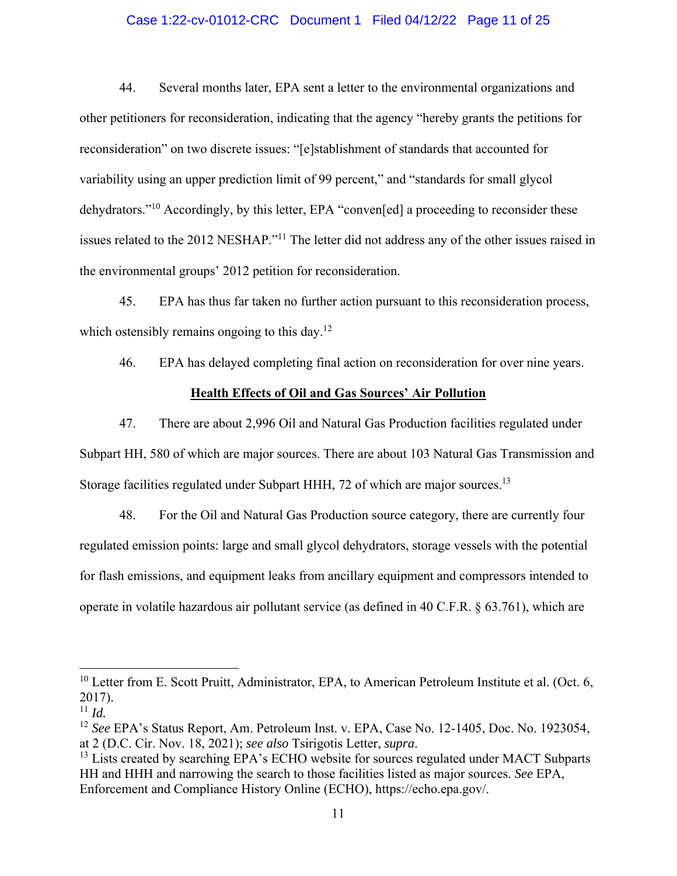### Case 1:22-cv-01012-CRC Document 1 Filed 04/12/22 Page 11 of 25

44. Several months later, EPA sent a letter to the environmental organizations and other petitioners for reconsideration, indicating that the agency "hereby grants the petitions for reconsideration" on two discrete issues: "[e]stablishment of standards that accounted for variability using an upper prediction limit of 99 percent," and "standards for small glycol dehydrators."10 Accordingly, by this letter, EPA "conven[ed] a proceeding to reconsider these issues related to the 2012 NESHAP."11 The letter did not address any of the other issues raised in the environmental groups' 2012 petition for reconsideration.

45. EPA has thus far taken no further action pursuant to this reconsideration process, which ostensibly remains ongoing to this day.<sup>12</sup>

46. EPA has delayed completing final action on reconsideration for over nine years.

# **Health Effects of Oil and Gas Sources' Air Pollution**

47. There are about 2,996 Oil and Natural Gas Production facilities regulated under Subpart HH, 580 of which are major sources. There are about 103 Natural Gas Transmission and Storage facilities regulated under Subpart HHH, 72 of which are major sources.<sup>13</sup>

48. For the Oil and Natural Gas Production source category, there are currently four regulated emission points: large and small glycol dehydrators, storage vessels with the potential for flash emissions, and equipment leaks from ancillary equipment and compressors intended to operate in volatile hazardous air pollutant service (as defined in 40 C.F.R. § 63.761), which are

<sup>&</sup>lt;sup>10</sup> Letter from E. Scott Pruitt, Administrator, EPA, to American Petroleum Institute et al. (Oct. 6, 2017).

<sup>11</sup> *Id.*

<sup>12</sup> *See* EPA's Status Report, Am. Petroleum Inst. v. EPA, Case No. 12-1405, Doc. No. 1923054, at 2 (D.C. Cir. Nov. 18, 2021); *see also* Tsirigotis Letter, *supra*. 13 Lists created by searching EPA's ECHO website for sources regulated under MACT Subparts

HH and HHH and narrowing the search to those facilities listed as major sources. *See* EPA, Enforcement and Compliance History Online (ECHO), https://echo.epa.gov/.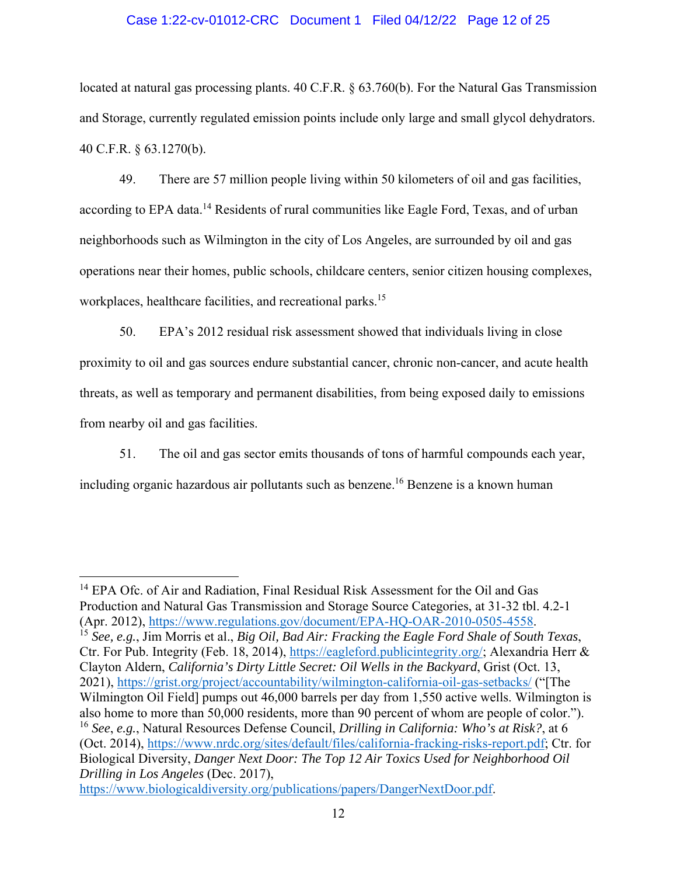### Case 1:22-cv-01012-CRC Document 1 Filed 04/12/22 Page 12 of 25

located at natural gas processing plants. 40 C.F.R. § 63.760(b). For the Natural Gas Transmission and Storage, currently regulated emission points include only large and small glycol dehydrators. 40 C.F.R. § 63.1270(b).

49. There are 57 million people living within 50 kilometers of oil and gas facilities, according to EPA data.<sup>14</sup> Residents of rural communities like Eagle Ford, Texas, and of urban neighborhoods such as Wilmington in the city of Los Angeles, are surrounded by oil and gas operations near their homes, public schools, childcare centers, senior citizen housing complexes, workplaces, healthcare facilities, and recreational parks.<sup>15</sup>

50. EPA's 2012 residual risk assessment showed that individuals living in close proximity to oil and gas sources endure substantial cancer, chronic non-cancer, and acute health threats, as well as temporary and permanent disabilities, from being exposed daily to emissions from nearby oil and gas facilities.

51. The oil and gas sector emits thousands of tons of harmful compounds each year, including organic hazardous air pollutants such as benzene.16 Benzene is a known human

<sup>14</sup> EPA Ofc. of Air and Radiation, Final Residual Risk Assessment for the Oil and Gas Production and Natural Gas Transmission and Storage Source Categories, at 31-32 tbl. 4.2-1 (Apr. 2012), https://www.regulations.gov/document/EPA-HQ-OAR-2010-0505-4558. 15 *See, e.g.*, Jim Morris et al., *Big Oil, Bad Air: Fracking the Eagle Ford Shale of South Texas*, Ctr. For Pub. Integrity (Feb. 18, 2014), https://eagleford.publicintegrity.org/; Alexandria Herr & Clayton Aldern, *California's Dirty Little Secret: Oil Wells in the Backyard*, Grist (Oct. 13, 2021), https://grist.org/project/accountability/wilmington-california-oil-gas-setbacks/ ("[The Wilmington Oil Field] pumps out 46,000 barrels per day from 1,550 active wells. Wilmington is also home to more than 50,000 residents, more than 90 percent of whom are people of color."). <sup>16</sup> *See*, *e.g.*, Natural Resources Defense Council, *Drilling in California: Who's at Risk?*, at 6 (Oct. 2014), https://www.nrdc.org/sites/default/files/california-fracking-risks-report.pdf; Ctr. for Biological Diversity, *Danger Next Door: The Top 12 Air Toxics Used for Neighborhood Oil Drilling in Los Angeles* (Dec. 2017),

https://www.biologicaldiversity.org/publications/papers/DangerNextDoor.pdf.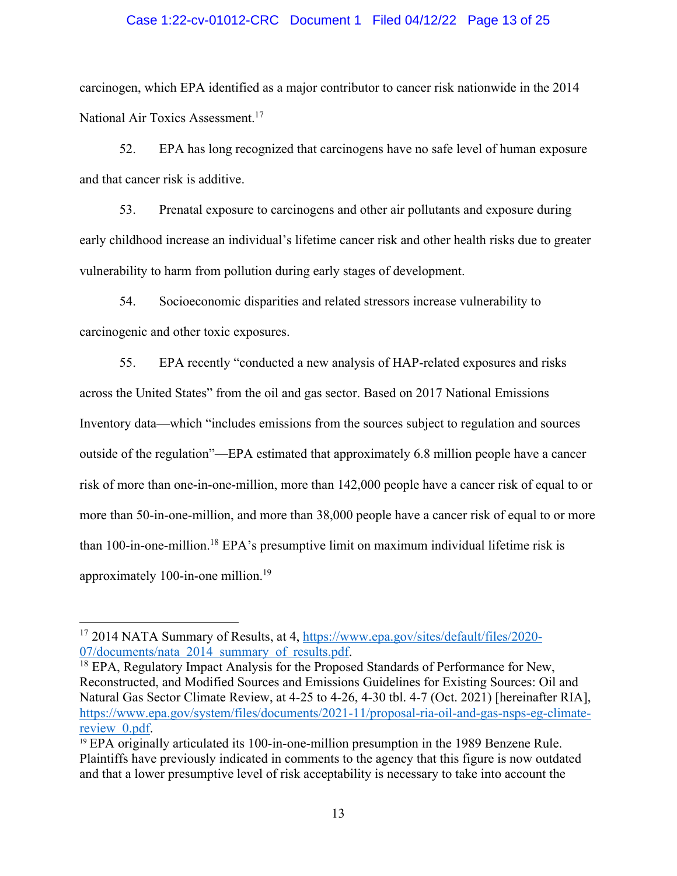### Case 1:22-cv-01012-CRC Document 1 Filed 04/12/22 Page 13 of 25

carcinogen, which EPA identified as a major contributor to cancer risk nationwide in the 2014 National Air Toxics Assessment.17

52. EPA has long recognized that carcinogens have no safe level of human exposure and that cancer risk is additive.

53. Prenatal exposure to carcinogens and other air pollutants and exposure during early childhood increase an individual's lifetime cancer risk and other health risks due to greater vulnerability to harm from pollution during early stages of development.

54. Socioeconomic disparities and related stressors increase vulnerability to carcinogenic and other toxic exposures.

55. EPA recently "conducted a new analysis of HAP-related exposures and risks across the United States" from the oil and gas sector. Based on 2017 National Emissions Inventory data—which "includes emissions from the sources subject to regulation and sources outside of the regulation"—EPA estimated that approximately 6.8 million people have a cancer risk of more than one-in-one-million, more than 142,000 people have a cancer risk of equal to or more than 50-in-one-million, and more than 38,000 people have a cancer risk of equal to or more than 100-in-one-million.18 EPA's presumptive limit on maximum individual lifetime risk is approximately 100-in-one million.<sup>19</sup>

<sup>17 2014</sup> NATA Summary of Results, at 4, https://www.epa.gov/sites/default/files/2020- 07/documents/nata 2014 summary of results.pdf.<br><sup>18</sup> EPA, Regulatory Impact Analysis for the Proposed Standards of Performance for New,

Reconstructed, and Modified Sources and Emissions Guidelines for Existing Sources: Oil and Natural Gas Sector Climate Review, at 4-25 to 4-26, 4-30 tbl. 4-7 (Oct. 2021) [hereinafter RIA], https://www.epa.gov/system/files/documents/2021-11/proposal-ria-oil-and-gas-nsps-eg-climate-<u>review 0.pdf</u>.<br><sup>19</sup> EPA originally articulated its 100-in-one-million presumption in the 1989 Benzene Rule.

Plaintiffs have previously indicated in comments to the agency that this figure is now outdated and that a lower presumptive level of risk acceptability is necessary to take into account the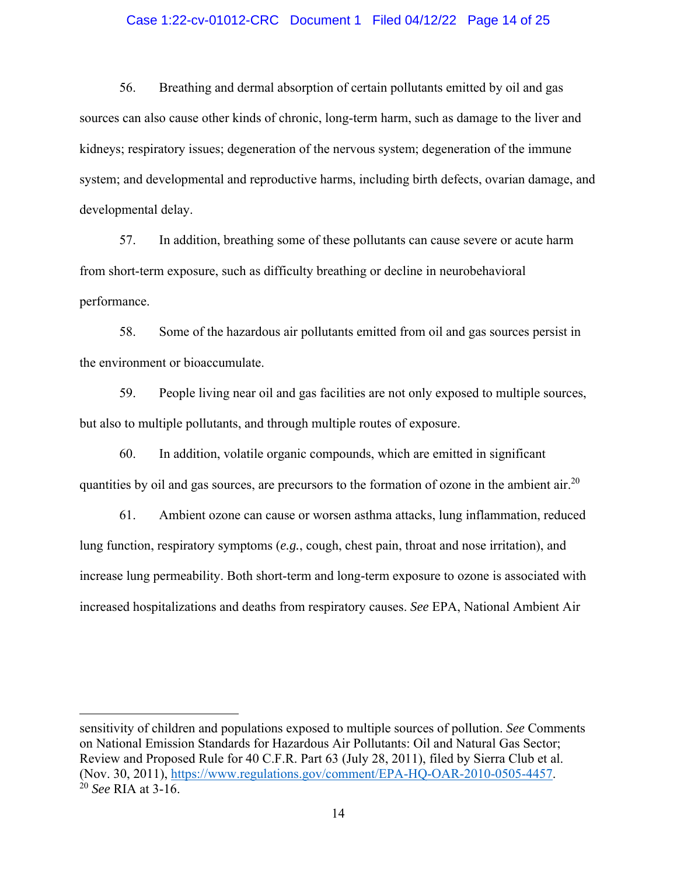### Case 1:22-cv-01012-CRC Document 1 Filed 04/12/22 Page 14 of 25

56. Breathing and dermal absorption of certain pollutants emitted by oil and gas sources can also cause other kinds of chronic, long-term harm, such as damage to the liver and kidneys; respiratory issues; degeneration of the nervous system; degeneration of the immune system; and developmental and reproductive harms, including birth defects, ovarian damage, and developmental delay.

57. In addition, breathing some of these pollutants can cause severe or acute harm from short-term exposure, such as difficulty breathing or decline in neurobehavioral performance.

58. Some of the hazardous air pollutants emitted from oil and gas sources persist in the environment or bioaccumulate.

59. People living near oil and gas facilities are not only exposed to multiple sources, but also to multiple pollutants, and through multiple routes of exposure.

60. In addition, volatile organic compounds, which are emitted in significant quantities by oil and gas sources, are precursors to the formation of ozone in the ambient air.<sup>20</sup>

61. Ambient ozone can cause or worsen asthma attacks, lung inflammation, reduced lung function, respiratory symptoms (*e.g.*, cough, chest pain, throat and nose irritation), and increase lung permeability. Both short-term and long-term exposure to ozone is associated with increased hospitalizations and deaths from respiratory causes. *See* EPA, National Ambient Air

sensitivity of children and populations exposed to multiple sources of pollution. *See* Comments on National Emission Standards for Hazardous Air Pollutants: Oil and Natural Gas Sector; Review and Proposed Rule for 40 C.F.R. Part 63 (July 28, 2011), filed by Sierra Club et al. (Nov. 30, 2011), https://www.regulations.gov/comment/EPA-HQ-OAR-2010-0505-4457. 20 *See* RIA at 3-16.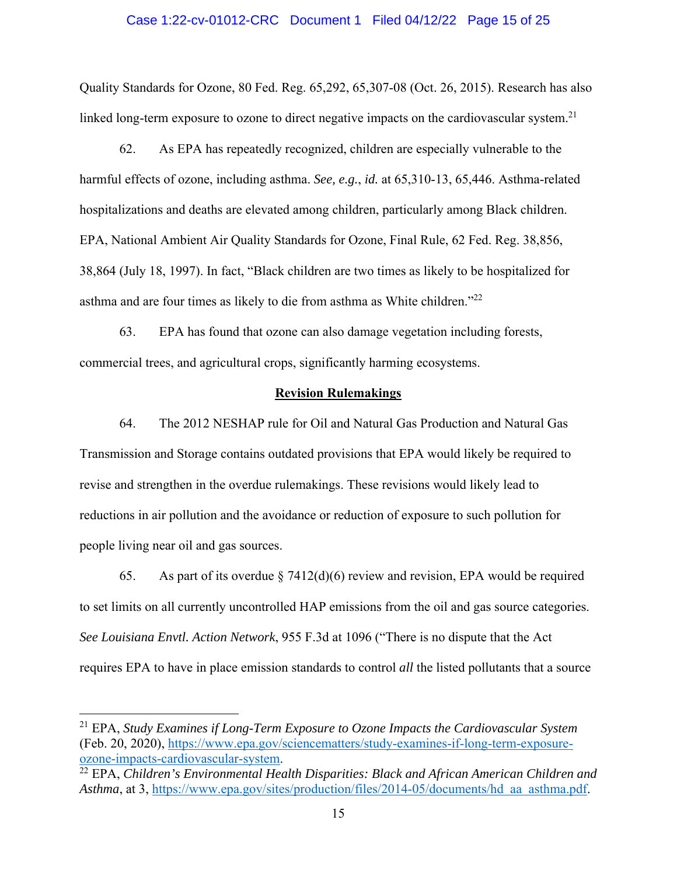#### Case 1:22-cv-01012-CRC Document 1 Filed 04/12/22 Page 15 of 25

Quality Standards for Ozone, 80 Fed. Reg. 65,292, 65,307-08 (Oct. 26, 2015). Research has also linked long-term exposure to ozone to direct negative impacts on the cardiovascular system.<sup>21</sup>

62. As EPA has repeatedly recognized, children are especially vulnerable to the harmful effects of ozone, including asthma. *See, e.g.*, *id.* at 65,310-13, 65,446. Asthma-related hospitalizations and deaths are elevated among children, particularly among Black children. EPA, National Ambient Air Quality Standards for Ozone, Final Rule, 62 Fed. Reg. 38,856, 38,864 (July 18, 1997). In fact, "Black children are two times as likely to be hospitalized for asthma and are four times as likely to die from asthma as White children."<sup>22</sup>

63. EPA has found that ozone can also damage vegetation including forests, commercial trees, and agricultural crops, significantly harming ecosystems.

### **Revision Rulemakings**

64. The 2012 NESHAP rule for Oil and Natural Gas Production and Natural Gas Transmission and Storage contains outdated provisions that EPA would likely be required to revise and strengthen in the overdue rulemakings. These revisions would likely lead to reductions in air pollution and the avoidance or reduction of exposure to such pollution for people living near oil and gas sources.

65. As part of its overdue  $\S$  7412(d)(6) review and revision, EPA would be required to set limits on all currently uncontrolled HAP emissions from the oil and gas source categories. *See Louisiana Envtl. Action Network*, 955 F.3d at 1096 ("There is no dispute that the Act requires EPA to have in place emission standards to control *all* the listed pollutants that a source

<sup>21</sup> EPA, *Study Examines if Long-Term Exposure to Ozone Impacts the Cardiovascular System* (Feb. 20, 2020), https://www.epa.gov/sciencematters/study-examines-if-long-term-exposureozone-impacts-cardiovascular-system. 22 EPA, *Children's Environmental Health Disparities: Black and African American Children and* 

*Asthma*, at 3, https://www.epa.gov/sites/production/files/2014-05/documents/hd aa asthma.pdf.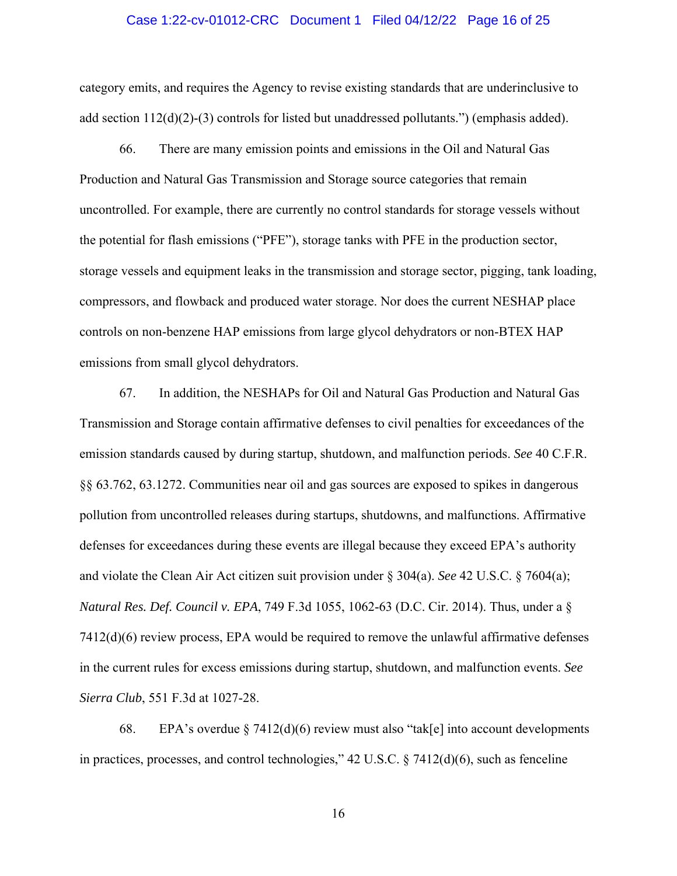#### Case 1:22-cv-01012-CRC Document 1 Filed 04/12/22 Page 16 of 25

category emits, and requires the Agency to revise existing standards that are underinclusive to add section  $112\left(\frac{d}{2}\right)-3$  controls for listed but unaddressed pollutants.") (emphasis added).

66. There are many emission points and emissions in the Oil and Natural Gas Production and Natural Gas Transmission and Storage source categories that remain uncontrolled. For example, there are currently no control standards for storage vessels without the potential for flash emissions ("PFE"), storage tanks with PFE in the production sector, storage vessels and equipment leaks in the transmission and storage sector, pigging, tank loading, compressors, and flowback and produced water storage. Nor does the current NESHAP place controls on non-benzene HAP emissions from large glycol dehydrators or non-BTEX HAP emissions from small glycol dehydrators.

67. In addition, the NESHAPs for Oil and Natural Gas Production and Natural Gas Transmission and Storage contain affirmative defenses to civil penalties for exceedances of the emission standards caused by during startup, shutdown, and malfunction periods. *See* 40 C.F.R. §§ 63.762, 63.1272. Communities near oil and gas sources are exposed to spikes in dangerous pollution from uncontrolled releases during startups, shutdowns, and malfunctions. Affirmative defenses for exceedances during these events are illegal because they exceed EPA's authority and violate the Clean Air Act citizen suit provision under § 304(a). *See* 42 U.S.C. § 7604(a); *Natural Res. Def. Council v. EPA*, 749 F.3d 1055, 1062-63 (D.C. Cir. 2014). Thus, under a § 7412(d)(6) review process, EPA would be required to remove the unlawful affirmative defenses in the current rules for excess emissions during startup, shutdown, and malfunction events. *See Sierra Club*, 551 F.3d at 1027-28.

68. EPA's overdue  $\S 7412(d)(6)$  review must also "tak[e] into account developments in practices, processes, and control technologies," 42 U.S.C. § 7412(d)(6), such as fenceline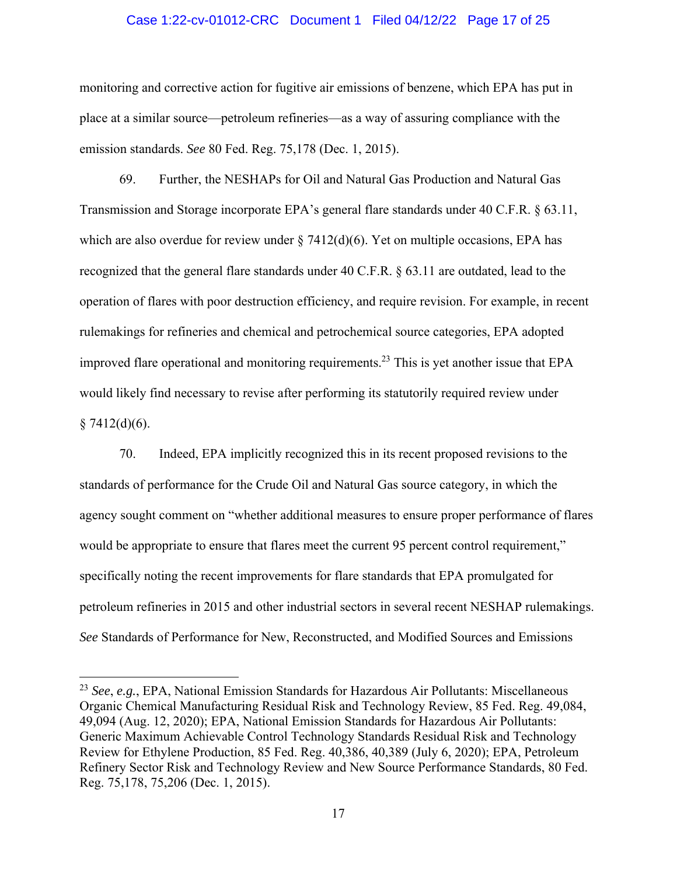### Case 1:22-cv-01012-CRC Document 1 Filed 04/12/22 Page 17 of 25

monitoring and corrective action for fugitive air emissions of benzene, which EPA has put in place at a similar source—petroleum refineries—as a way of assuring compliance with the emission standards. *See* 80 Fed. Reg. 75,178 (Dec. 1, 2015).

69. Further, the NESHAPs for Oil and Natural Gas Production and Natural Gas Transmission and Storage incorporate EPA's general flare standards under 40 C.F.R. § 63.11, which are also overdue for review under  $\S$  7412(d)(6). Yet on multiple occasions, EPA has recognized that the general flare standards under 40 C.F.R. § 63.11 are outdated, lead to the operation of flares with poor destruction efficiency, and require revision. For example, in recent rulemakings for refineries and chemical and petrochemical source categories, EPA adopted improved flare operational and monitoring requirements.<sup>23</sup> This is yet another issue that EPA would likely find necessary to revise after performing its statutorily required review under  $§ 7412(d)(6).$ 

70. Indeed, EPA implicitly recognized this in its recent proposed revisions to the standards of performance for the Crude Oil and Natural Gas source category, in which the agency sought comment on "whether additional measures to ensure proper performance of flares would be appropriate to ensure that flares meet the current 95 percent control requirement," specifically noting the recent improvements for flare standards that EPA promulgated for petroleum refineries in 2015 and other industrial sectors in several recent NESHAP rulemakings. *See* Standards of Performance for New, Reconstructed, and Modified Sources and Emissions

<sup>23</sup> *See*, *e.g.*, EPA, National Emission Standards for Hazardous Air Pollutants: Miscellaneous Organic Chemical Manufacturing Residual Risk and Technology Review, 85 Fed. Reg. 49,084, 49,094 (Aug. 12, 2020); EPA, National Emission Standards for Hazardous Air Pollutants: Generic Maximum Achievable Control Technology Standards Residual Risk and Technology Review for Ethylene Production, 85 Fed. Reg. 40,386, 40,389 (July 6, 2020); EPA, Petroleum Refinery Sector Risk and Technology Review and New Source Performance Standards, 80 Fed. Reg. 75,178, 75,206 (Dec. 1, 2015).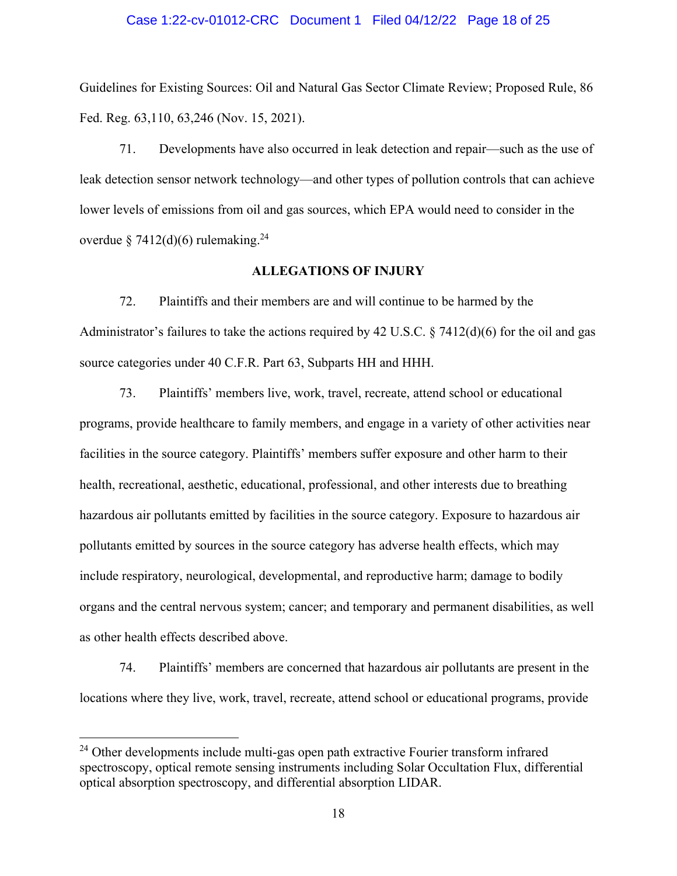#### Case 1:22-cv-01012-CRC Document 1 Filed 04/12/22 Page 18 of 25

Guidelines for Existing Sources: Oil and Natural Gas Sector Climate Review; Proposed Rule, 86 Fed. Reg. 63,110, 63,246 (Nov. 15, 2021).

71. Developments have also occurred in leak detection and repair—such as the use of leak detection sensor network technology—and other types of pollution controls that can achieve lower levels of emissions from oil and gas sources, which EPA would need to consider in the overdue  $\S$  7412(d)(6) rulemaking.<sup>24</sup>

### **ALLEGATIONS OF INJURY**

72. Plaintiffs and their members are and will continue to be harmed by the Administrator's failures to take the actions required by 42 U.S.C. § 7412(d)(6) for the oil and gas source categories under 40 C.F.R. Part 63, Subparts HH and HHH.

73. Plaintiffs' members live, work, travel, recreate, attend school or educational programs, provide healthcare to family members, and engage in a variety of other activities near facilities in the source category. Plaintiffs' members suffer exposure and other harm to their health, recreational, aesthetic, educational, professional, and other interests due to breathing hazardous air pollutants emitted by facilities in the source category. Exposure to hazardous air pollutants emitted by sources in the source category has adverse health effects, which may include respiratory, neurological, developmental, and reproductive harm; damage to bodily organs and the central nervous system; cancer; and temporary and permanent disabilities, as well as other health effects described above.

74. Plaintiffs' members are concerned that hazardous air pollutants are present in the locations where they live, work, travel, recreate, attend school or educational programs, provide

<sup>&</sup>lt;sup>24</sup> Other developments include multi-gas open path extractive Fourier transform infrared spectroscopy, optical remote sensing instruments including Solar Occultation Flux, differential optical absorption spectroscopy, and differential absorption LIDAR.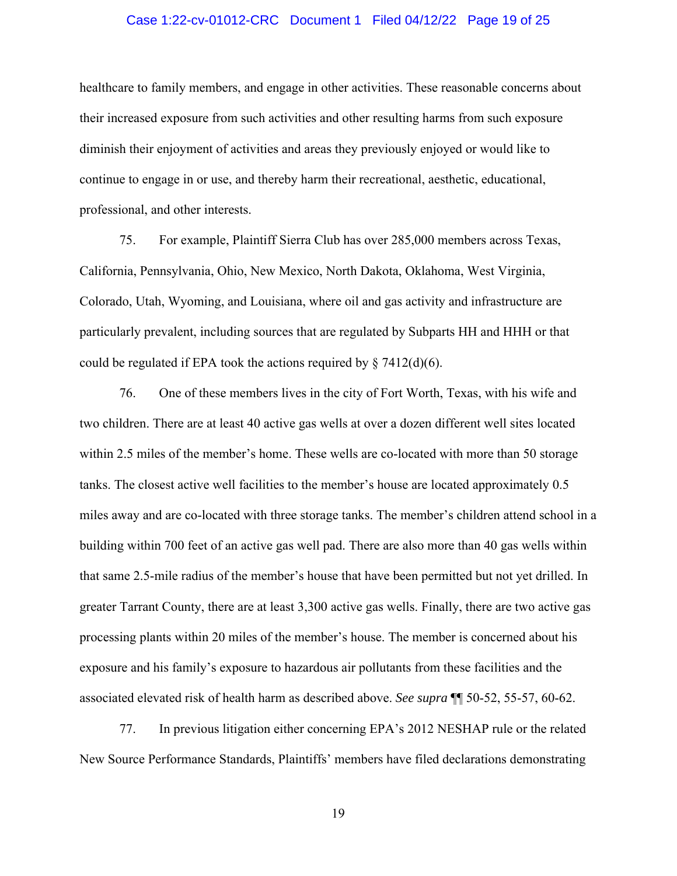### Case 1:22-cv-01012-CRC Document 1 Filed 04/12/22 Page 19 of 25

healthcare to family members, and engage in other activities. These reasonable concerns about their increased exposure from such activities and other resulting harms from such exposure diminish their enjoyment of activities and areas they previously enjoyed or would like to continue to engage in or use, and thereby harm their recreational, aesthetic, educational, professional, and other interests.

75. For example, Plaintiff Sierra Club has over 285,000 members across Texas, California, Pennsylvania, Ohio, New Mexico, North Dakota, Oklahoma, West Virginia, Colorado, Utah, Wyoming, and Louisiana, where oil and gas activity and infrastructure are particularly prevalent, including sources that are regulated by Subparts HH and HHH or that could be regulated if EPA took the actions required by  $\S 7412(d)(6)$ .

76. One of these members lives in the city of Fort Worth, Texas, with his wife and two children. There are at least 40 active gas wells at over a dozen different well sites located within 2.5 miles of the member's home. These wells are co-located with more than 50 storage tanks. The closest active well facilities to the member's house are located approximately 0.5 miles away and are co-located with three storage tanks. The member's children attend school in a building within 700 feet of an active gas well pad. There are also more than 40 gas wells within that same 2.5-mile radius of the member's house that have been permitted but not yet drilled. In greater Tarrant County, there are at least 3,300 active gas wells. Finally, there are two active gas processing plants within 20 miles of the member's house. The member is concerned about his exposure and his family's exposure to hazardous air pollutants from these facilities and the associated elevated risk of health harm as described above. *See supra* ¶¶ 50-52, 55-57, 60-62.

77. In previous litigation either concerning EPA's 2012 NESHAP rule or the related New Source Performance Standards, Plaintiffs' members have filed declarations demonstrating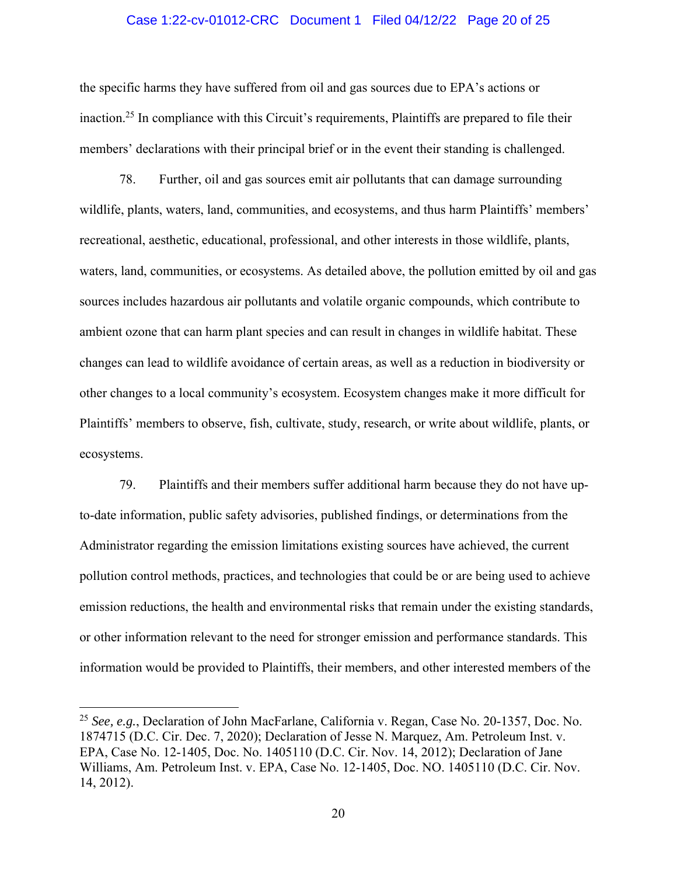### Case 1:22-cv-01012-CRC Document 1 Filed 04/12/22 Page 20 of 25

the specific harms they have suffered from oil and gas sources due to EPA's actions or inaction.25 In compliance with this Circuit's requirements, Plaintiffs are prepared to file their members' declarations with their principal brief or in the event their standing is challenged.

78. Further, oil and gas sources emit air pollutants that can damage surrounding wildlife, plants, waters, land, communities, and ecosystems, and thus harm Plaintiffs' members' recreational, aesthetic, educational, professional, and other interests in those wildlife, plants, waters, land, communities, or ecosystems. As detailed above, the pollution emitted by oil and gas sources includes hazardous air pollutants and volatile organic compounds, which contribute to ambient ozone that can harm plant species and can result in changes in wildlife habitat. These changes can lead to wildlife avoidance of certain areas, as well as a reduction in biodiversity or other changes to a local community's ecosystem. Ecosystem changes make it more difficult for Plaintiffs' members to observe, fish, cultivate, study, research, or write about wildlife, plants, or ecosystems.

79. Plaintiffs and their members suffer additional harm because they do not have upto-date information, public safety advisories, published findings, or determinations from the Administrator regarding the emission limitations existing sources have achieved, the current pollution control methods, practices, and technologies that could be or are being used to achieve emission reductions, the health and environmental risks that remain under the existing standards, or other information relevant to the need for stronger emission and performance standards. This information would be provided to Plaintiffs, their members, and other interested members of the

<sup>25</sup> *See, e.g.*, Declaration of John MacFarlane, California v. Regan, Case No. 20-1357, Doc. No. 1874715 (D.C. Cir. Dec. 7, 2020); Declaration of Jesse N. Marquez, Am. Petroleum Inst. v. EPA, Case No. 12-1405, Doc. No. 1405110 (D.C. Cir. Nov. 14, 2012); Declaration of Jane Williams, Am. Petroleum Inst. v. EPA, Case No. 12-1405, Doc. NO. 1405110 (D.C. Cir. Nov. 14, 2012).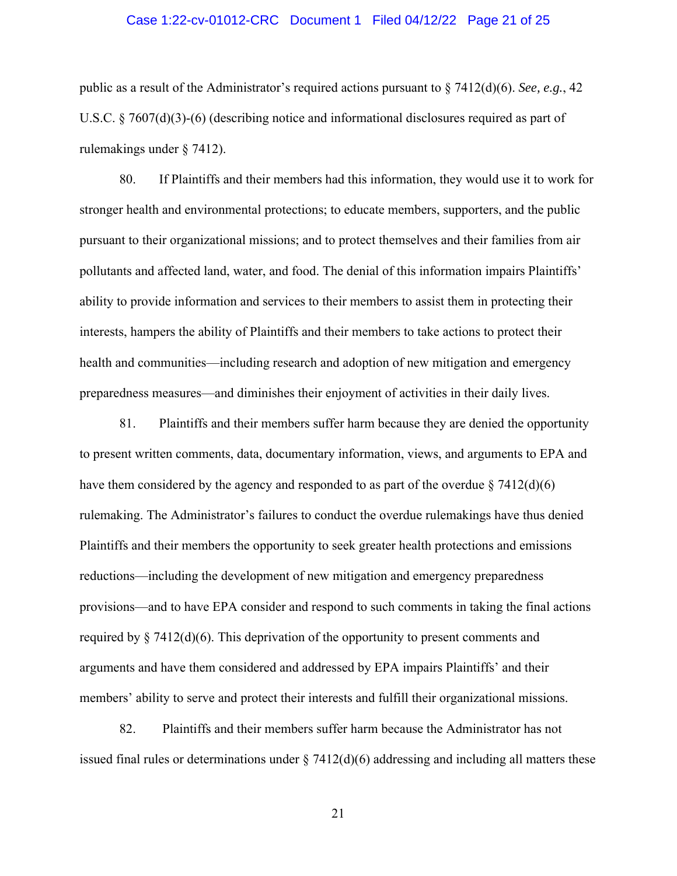### Case 1:22-cv-01012-CRC Document 1 Filed 04/12/22 Page 21 of 25

public as a result of the Administrator's required actions pursuant to § 7412(d)(6). *See, e.g.*, 42 U.S.C. § 7607(d)(3)-(6) (describing notice and informational disclosures required as part of rulemakings under § 7412).

80. If Plaintiffs and their members had this information, they would use it to work for stronger health and environmental protections; to educate members, supporters, and the public pursuant to their organizational missions; and to protect themselves and their families from air pollutants and affected land, water, and food. The denial of this information impairs Plaintiffs' ability to provide information and services to their members to assist them in protecting their interests, hampers the ability of Plaintiffs and their members to take actions to protect their health and communities—including research and adoption of new mitigation and emergency preparedness measures—and diminishes their enjoyment of activities in their daily lives.

81. Plaintiffs and their members suffer harm because they are denied the opportunity to present written comments, data, documentary information, views, and arguments to EPA and have them considered by the agency and responded to as part of the overdue  $\S$  7412(d)(6) rulemaking. The Administrator's failures to conduct the overdue rulemakings have thus denied Plaintiffs and their members the opportunity to seek greater health protections and emissions reductions—including the development of new mitigation and emergency preparedness provisions—and to have EPA consider and respond to such comments in taking the final actions required by  $\S$  7412(d)(6). This deprivation of the opportunity to present comments and arguments and have them considered and addressed by EPA impairs Plaintiffs' and their members' ability to serve and protect their interests and fulfill their organizational missions.

82. Plaintiffs and their members suffer harm because the Administrator has not issued final rules or determinations under  $\S 7412(d)(6)$  addressing and including all matters these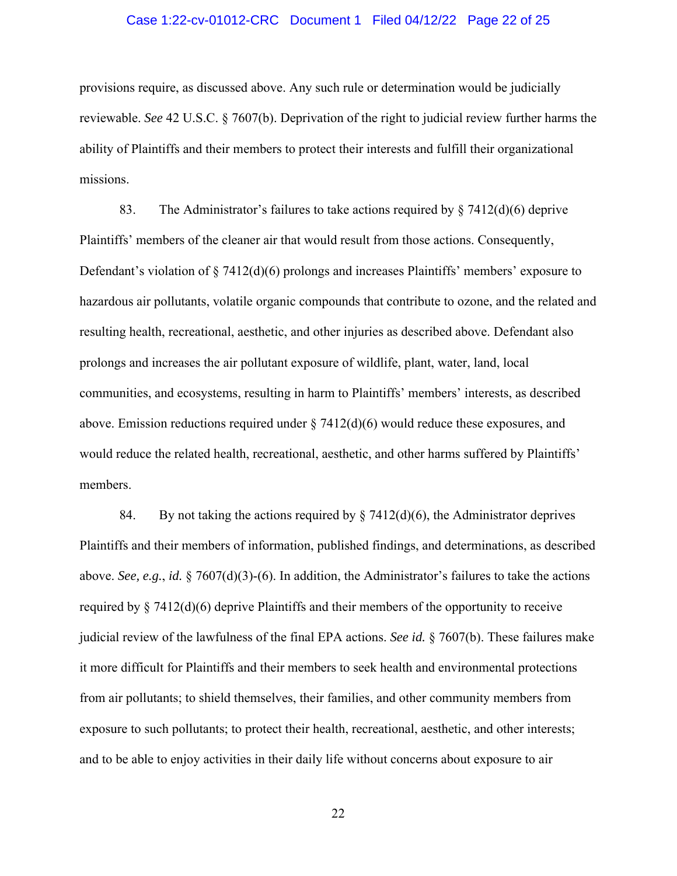### Case 1:22-cv-01012-CRC Document 1 Filed 04/12/22 Page 22 of 25

provisions require, as discussed above. Any such rule or determination would be judicially reviewable. *See* 42 U.S.C. § 7607(b). Deprivation of the right to judicial review further harms the ability of Plaintiffs and their members to protect their interests and fulfill their organizational missions.

83. The Administrator's failures to take actions required by  $\S$  7412(d)(6) deprive Plaintiffs' members of the cleaner air that would result from those actions. Consequently, Defendant's violation of  $\S$  7412(d)(6) prolongs and increases Plaintiffs' members' exposure to hazardous air pollutants, volatile organic compounds that contribute to ozone, and the related and resulting health, recreational, aesthetic, and other injuries as described above. Defendant also prolongs and increases the air pollutant exposure of wildlife, plant, water, land, local communities, and ecosystems, resulting in harm to Plaintiffs' members' interests, as described above. Emission reductions required under  $\S 7412(d)(6)$  would reduce these exposures, and would reduce the related health, recreational, aesthetic, and other harms suffered by Plaintiffs' members.

84. By not taking the actions required by  $\S$  7412(d)(6), the Administrator deprives Plaintiffs and their members of information, published findings, and determinations, as described above. *See, e.g.*, *id.* § 7607(d)(3)-(6). In addition, the Administrator's failures to take the actions required by § 7412(d)(6) deprive Plaintiffs and their members of the opportunity to receive judicial review of the lawfulness of the final EPA actions. *See id.* § 7607(b). These failures make it more difficult for Plaintiffs and their members to seek health and environmental protections from air pollutants; to shield themselves, their families, and other community members from exposure to such pollutants; to protect their health, recreational, aesthetic, and other interests; and to be able to enjoy activities in their daily life without concerns about exposure to air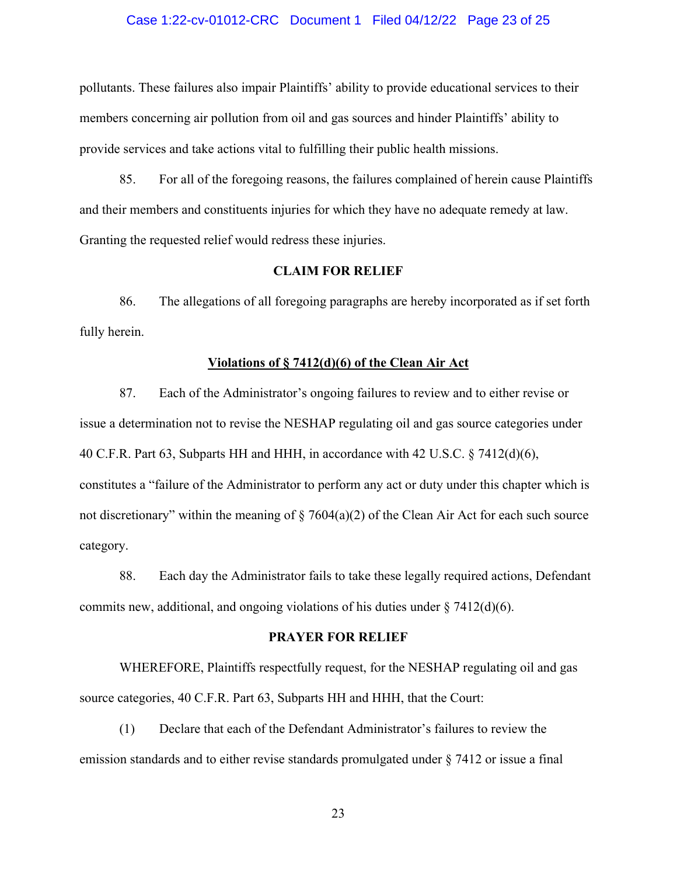# Case 1:22-cv-01012-CRC Document 1 Filed 04/12/22 Page 23 of 25

pollutants. These failures also impair Plaintiffs' ability to provide educational services to their members concerning air pollution from oil and gas sources and hinder Plaintiffs' ability to provide services and take actions vital to fulfilling their public health missions.

85. For all of the foregoing reasons, the failures complained of herein cause Plaintiffs and their members and constituents injuries for which they have no adequate remedy at law. Granting the requested relief would redress these injuries.

### **CLAIM FOR RELIEF**

86. The allegations of all foregoing paragraphs are hereby incorporated as if set forth fully herein.

#### **Violations of § 7412(d)(6) of the Clean Air Act**

87. Each of the Administrator's ongoing failures to review and to either revise or issue a determination not to revise the NESHAP regulating oil and gas source categories under 40 C.F.R. Part 63, Subparts HH and HHH, in accordance with 42 U.S.C. § 7412(d)(6), constitutes a "failure of the Administrator to perform any act or duty under this chapter which is not discretionary" within the meaning of  $\S$  7604(a)(2) of the Clean Air Act for each such source category.

88. Each day the Administrator fails to take these legally required actions, Defendant commits new, additional, and ongoing violations of his duties under  $\S$  7412(d)(6).

#### **PRAYER FOR RELIEF**

WHEREFORE, Plaintiffs respectfully request, for the NESHAP regulating oil and gas source categories, 40 C.F.R. Part 63, Subparts HH and HHH, that the Court:

 (1) Declare that each of the Defendant Administrator's failures to review the emission standards and to either revise standards promulgated under § 7412 or issue a final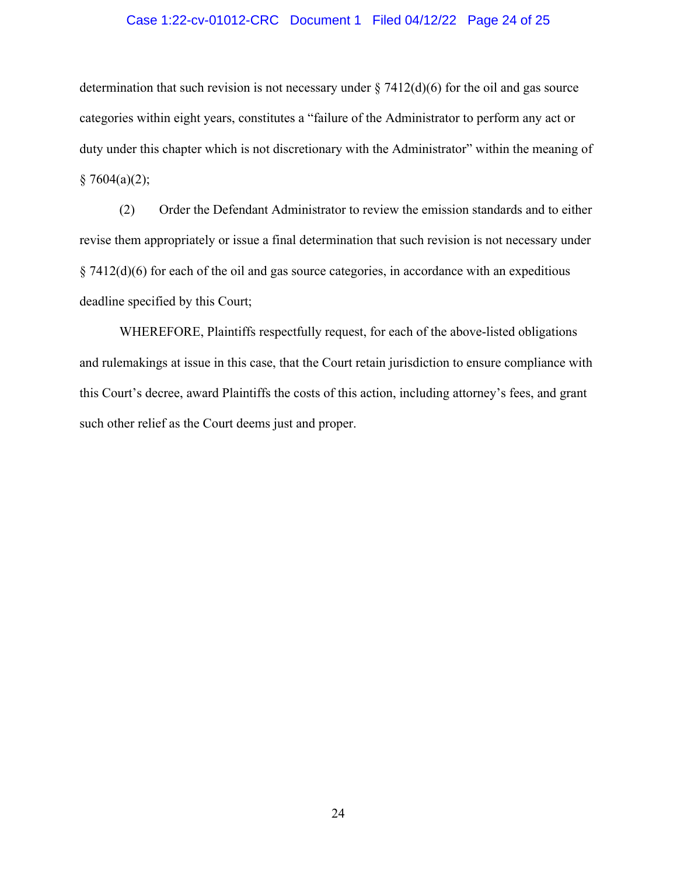### Case 1:22-cv-01012-CRC Document 1 Filed 04/12/22 Page 24 of 25

determination that such revision is not necessary under  $\S 7412(d)(6)$  for the oil and gas source categories within eight years, constitutes a "failure of the Administrator to perform any act or duty under this chapter which is not discretionary with the Administrator" within the meaning of  $§ 7604(a)(2);$ 

 (2) Order the Defendant Administrator to review the emission standards and to either revise them appropriately or issue a final determination that such revision is not necessary under § 7412(d)(6) for each of the oil and gas source categories, in accordance with an expeditious deadline specified by this Court;

WHEREFORE, Plaintiffs respectfully request, for each of the above-listed obligations and rulemakings at issue in this case, that the Court retain jurisdiction to ensure compliance with this Court's decree, award Plaintiffs the costs of this action, including attorney's fees, and grant such other relief as the Court deems just and proper.